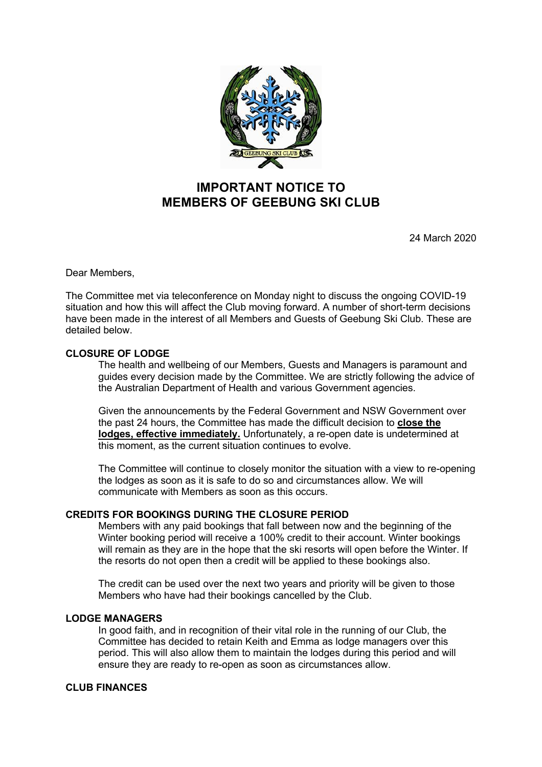

# **IMPORTANT NOTICE TO MEMBERS OF GEEBUNG SKI CLUB**

24 March 2020

Dear Members,

The Committee met via teleconference on Monday night to discuss the ongoing COVID-19 situation and how this will affect the Club moving forward. A number of short-term decisions have been made in the interest of all Members and Guests of Geebung Ski Club. These are detailed below.

# **CLOSURE OF LODGE**

The health and wellbeing of our Members, Guests and Managers is paramount and guides every decision made by the Committee. We are strictly following the advice of the Australian Department of Health and various Government agencies.

Given the announcements by the Federal Government and NSW Government over the past 24 hours, the Committee has made the difficult decision to **close the lodges, effective immediately.** Unfortunately, a re-open date is undetermined at this moment, as the current situation continues to evolve.

The Committee will continue to closely monitor the situation with a view to re-opening the lodges as soon as it is safe to do so and circumstances allow. We will communicate with Members as soon as this occurs.

# **CREDITS FOR BOOKINGS DURING THE CLOSURE PERIOD**

Members with any paid bookings that fall between now and the beginning of the Winter booking period will receive a 100% credit to their account. Winter bookings will remain as they are in the hope that the ski resorts will open before the Winter. If the resorts do not open then a credit will be applied to these bookings also.

The credit can be used over the next two years and priority will be given to those Members who have had their bookings cancelled by the Club.

# **LODGE MANAGERS**

In good faith, and in recognition of their vital role in the running of our Club, the Committee has decided to retain Keith and Emma as lodge managers over this period. This will also allow them to maintain the lodges during this period and will ensure they are ready to re-open as soon as circumstances allow.

# **CLUB FINANCES**